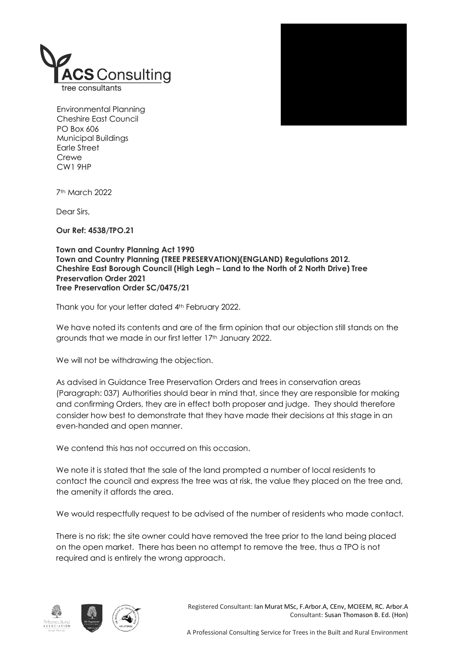



Environmental Planning Cheshire East Council PO Box 606 Municipal Buildings Earle Street **Crewe** CW1 9HP

7th March 2022

Dear Sirs,

Our Ref: 4538/TPO.21

Town and Country Planning Act 1990 Town and Country Planning (TREE PRESERVATION)(ENGLAND) Regulations 2012. Cheshire East Borough Council (High Legh – Land to the North of 2 North Drive) Tree Preservation Order 2021 Tree Preservation Order SC/0475/21

Thank you for your letter dated 4th February 2022.

We have noted its contents and are of the firm opinion that our objection still stands on the grounds that we made in our first letter 17th January 2022.

We will not be withdrawing the objection.

As advised in Guidance Tree Preservation Orders and trees in conservation areas (Paragraph: 037) Authorities should bear in mind that, since they are responsible for making and confirming Orders, they are in effect both proposer and judge. They should therefore consider how best to demonstrate that they have made their decisions at this stage in an even-handed and open manner.

We contend this has not occurred on this occasion.

We note it is stated that the sale of the land prompted a number of local residents to contact the council and express the tree was at risk, the value they placed on the tree and, the amenity it affords the area.

We would respectfully request to be advised of the number of residents who made contact.

There is no risk; the site owner could have removed the tree prior to the land being placed on the open market. There has been no attempt to remove the tree, thus a TPO is not required and is entirely the wrong approach.





Registered Consultant: Ian Murat MSc, F.Arbor.A, CEnv, MCIEEM, RC. Arbor.A Consultant: Susan Thomason B. Ed. (Hon)